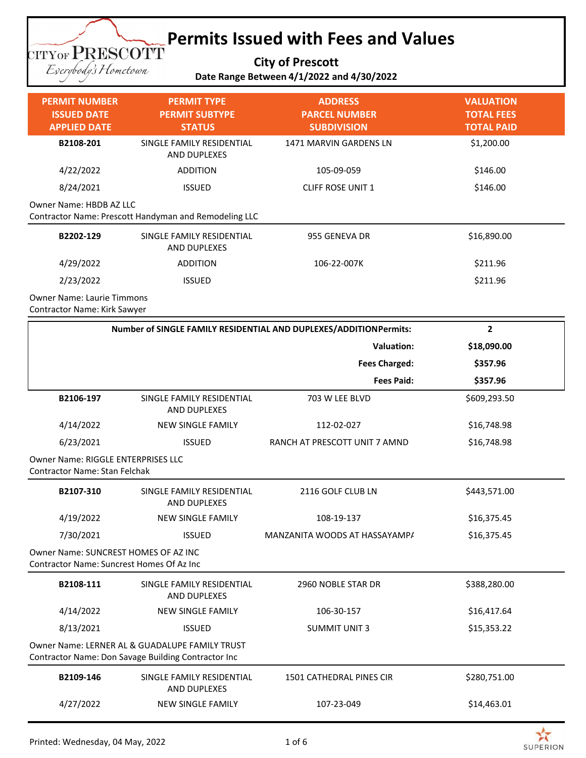## **Permits Issued with Fees and Values**

**City of Prescott**

**TITYOF PRESCOTT** Eserybody's Hometown

## **Date Range Between 4/1/2022 and 4/30/2022**

| <b>PERMIT NUMBER</b><br><b>ISSUED DATE</b><br><b>APPLIED DATE</b> | <b>PERMIT TYPE</b><br><b>PERMIT SUBTYPE</b><br><b>STATUS</b> | <b>ADDRESS</b><br><b>PARCEL NUMBER</b><br><b>SUBDIVISION</b> | <b>VALUATION</b><br><b>TOTAL FEES</b><br><b>TOTAL PAID</b> |
|-------------------------------------------------------------------|--------------------------------------------------------------|--------------------------------------------------------------|------------------------------------------------------------|
| B2108-201                                                         | SINGLE FAMILY RESIDENTIAL<br>AND DUPLEXES                    | 1471 MARVIN GARDENS LN                                       | \$1,200.00                                                 |
| 4/22/2022                                                         | <b>ADDITION</b>                                              | 105-09-059                                                   | \$146.00                                                   |
| 8/24/2021                                                         | <b>ISSUED</b>                                                | <b>CLIFF ROSE UNIT 1</b>                                     | \$146.00                                                   |
| Owner Name: HBDB AZ LLC                                           | Contractor Name: Prescott Handyman and Remodeling LLC        |                                                              |                                                            |
| B2202-129                                                         | SINGLE FAMILY RESIDENTIAL<br>AND DUPLEXES                    | 955 GENEVA DR                                                | \$16,890.00                                                |
| 4/29/2022                                                         | <b>ADDITION</b>                                              | 106-22-007K                                                  | \$211.96                                                   |
| 2/23/2022                                                         | <b>ISSUED</b>                                                |                                                              | \$211.96                                                   |
| <b>Owner Name: Laurie Timmons</b><br>Contractor Name: Kirk Sawyer |                                                              |                                                              |                                                            |

| Number of SINGLE FAMILY RESIDENTIAL AND DUPLEXES/ADDITIONPermits:                                     |                                                  |                               | $\overline{2}$ |
|-------------------------------------------------------------------------------------------------------|--------------------------------------------------|-------------------------------|----------------|
|                                                                                                       |                                                  | <b>Valuation:</b>             | \$18,090.00    |
|                                                                                                       |                                                  | <b>Fees Charged:</b>          | \$357.96       |
|                                                                                                       |                                                  | <b>Fees Paid:</b>             | \$357.96       |
| B2106-197                                                                                             | SINGLE FAMILY RESIDENTIAL<br><b>AND DUPLEXES</b> | 703 W LEE BLVD                | \$609,293.50   |
| 4/14/2022                                                                                             | <b>NEW SINGLE FAMILY</b>                         | 112-02-027                    | \$16,748.98    |
| 6/23/2021                                                                                             | <b>ISSUED</b>                                    | RANCH AT PRESCOTT UNIT 7 AMND | \$16,748.98    |
| <b>Owner Name: RIGGLE ENTERPRISES LLC</b><br><b>Contractor Name: Stan Felchak</b>                     |                                                  |                               |                |
| B2107-310                                                                                             | SINGLE FAMILY RESIDENTIAL<br><b>AND DUPLEXES</b> | 2116 GOLF CLUB LN             | \$443,571.00   |
| 4/19/2022                                                                                             | <b>NEW SINGLE FAMILY</b>                         | 108-19-137                    | \$16,375.45    |
| 7/30/2021                                                                                             | <b>ISSUED</b>                                    | MANZANITA WOODS AT HASSAYAMPA | \$16,375.45    |
| Owner Name: SUNCREST HOMES OF AZ INC<br>Contractor Name: Suncrest Homes Of Az Inc                     |                                                  |                               |                |
| B2108-111                                                                                             | SINGLE FAMILY RESIDENTIAL<br><b>AND DUPLEXES</b> | 2960 NOBLE STAR DR            | \$388,280.00   |
| 4/14/2022                                                                                             | <b>NEW SINGLE FAMILY</b>                         | 106-30-157                    | \$16,417.64    |
| 8/13/2021                                                                                             | <b>ISSUED</b>                                    | <b>SUMMIT UNIT 3</b>          | \$15,353.22    |
| Owner Name: LERNER AL & GUADALUPE FAMILY TRUST<br>Contractor Name: Don Savage Building Contractor Inc |                                                  |                               |                |
| B2109-146                                                                                             | SINGLE FAMILY RESIDENTIAL<br>AND DUPLEXES        | 1501 CATHEDRAL PINES CIR      | \$280,751.00   |
| 4/27/2022                                                                                             | <b>NEW SINGLE FAMILY</b>                         | 107-23-049                    | \$14,463.01    |

 $\geq$ **SUPERION**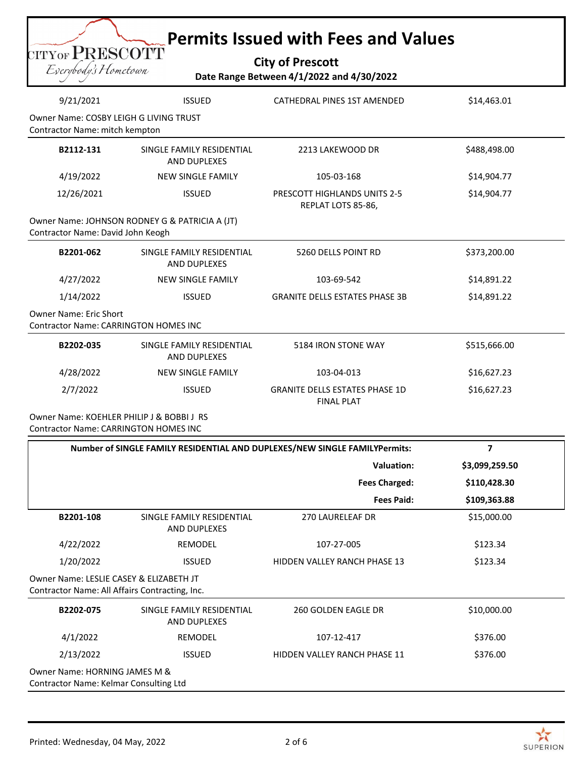| <b>Permits Issued with Fees and Values</b><br>CITYOF PRESCOTT<br><b>City of Prescott</b><br>Eserybody's Hometown<br>Date Range Between 4/1/2022 and 4/30/2022 |                                                  |                                                           |              |
|---------------------------------------------------------------------------------------------------------------------------------------------------------------|--------------------------------------------------|-----------------------------------------------------------|--------------|
| 9/21/2021                                                                                                                                                     | <b>ISSUED</b>                                    | <b>CATHEDRAL PINES 1ST AMENDED</b>                        | \$14,463.01  |
| Contractor Name: mitch kempton                                                                                                                                | Owner Name: COSBY LEIGH G LIVING TRUST           |                                                           |              |
| B2112-131                                                                                                                                                     | SINGLE FAMILY RESIDENTIAL<br><b>AND DUPLEXES</b> | 2213 LAKEWOOD DR                                          | \$488,498.00 |
| 4/19/2022                                                                                                                                                     | <b>NEW SINGLE FAMILY</b>                         | 105-03-168                                                | \$14,904.77  |
|                                                                                                                                                               |                                                  |                                                           |              |
| 12/26/2021                                                                                                                                                    | <b>ISSUED</b>                                    | <b>PRESCOTT HIGHLANDS UNITS 2-5</b><br>REPLAT LOTS 85-86, | \$14,904.77  |
|                                                                                                                                                               | Owner Name: JOHNSON RODNEY G & PATRICIA A (JT)   |                                                           |              |
| Contractor Name: David John Keogh<br>B2201-062                                                                                                                | SINGLE FAMILY RESIDENTIAL<br><b>AND DUPLEXES</b> | 5260 DELLS POINT RD                                       | \$373,200.00 |
| 4/27/2022                                                                                                                                                     | <b>NEW SINGLE FAMILY</b>                         | 103-69-542                                                | \$14,891.22  |
| 1/14/2022                                                                                                                                                     | <b>ISSUED</b>                                    | <b>GRANITE DELLS ESTATES PHASE 3B</b>                     | \$14,891.22  |
| <b>Owner Name: Eric Short</b>                                                                                                                                 | <b>Contractor Name: CARRINGTON HOMES INC</b>     |                                                           |              |
| B2202-035                                                                                                                                                     | SINGLE FAMILY RESIDENTIAL<br><b>AND DUPLEXES</b> | 5184 IRON STONE WAY                                       | \$515,666.00 |
| 4/28/2022                                                                                                                                                     | <b>NEW SINGLE FAMILY</b>                         | 103-04-013                                                | \$16,627.23  |

Contractor Name: CARRINGTON HOMES INC

| Number of SINGLE FAMILY RESIDENTIAL AND DUPLEXES/NEW SINGLE FAMILYPermits: |                                                                                           |                                     | 7              |  |
|----------------------------------------------------------------------------|-------------------------------------------------------------------------------------------|-------------------------------------|----------------|--|
|                                                                            |                                                                                           | Valuation:                          | \$3,099,259.50 |  |
|                                                                            |                                                                                           | <b>Fees Charged:</b>                | \$110,428.30   |  |
|                                                                            |                                                                                           | <b>Fees Paid:</b>                   | \$109,363.88   |  |
| B2201-108                                                                  | SINGLE FAMILY RESIDENTIAL<br><b>AND DUPLEXES</b>                                          | <b>270 LAURELEAF DR</b>             | \$15,000.00    |  |
| 4/22/2022                                                                  | <b>REMODEL</b>                                                                            | 107-27-005                          | \$123.34       |  |
| 1/20/2022                                                                  | <b>ISSUED</b>                                                                             | <b>HIDDEN VALLEY RANCH PHASE 13</b> | \$123.34       |  |
|                                                                            | Owner Name: LESLIE CASEY & ELIZABETH JT<br>Contractor Name: All Affairs Contracting, Inc. |                                     |                |  |
| B2202-075                                                                  | SINGLE FAMILY RESIDENTIAL<br><b>AND DUPLEXES</b>                                          | 260 GOLDEN EAGLE DR                 | \$10,000.00    |  |
| 4/1/2022                                                                   | <b>REMODEL</b>                                                                            | 107-12-417                          | \$376.00       |  |
| 2/13/2022                                                                  | <b>ISSUED</b>                                                                             | <b>HIDDEN VALLEY RANCH PHASE 11</b> | \$376.00       |  |
| Owner Name: HORNING JAMES M &<br>Contractor Name: Kelmar Consulting Ltd    |                                                                                           |                                     |                |  |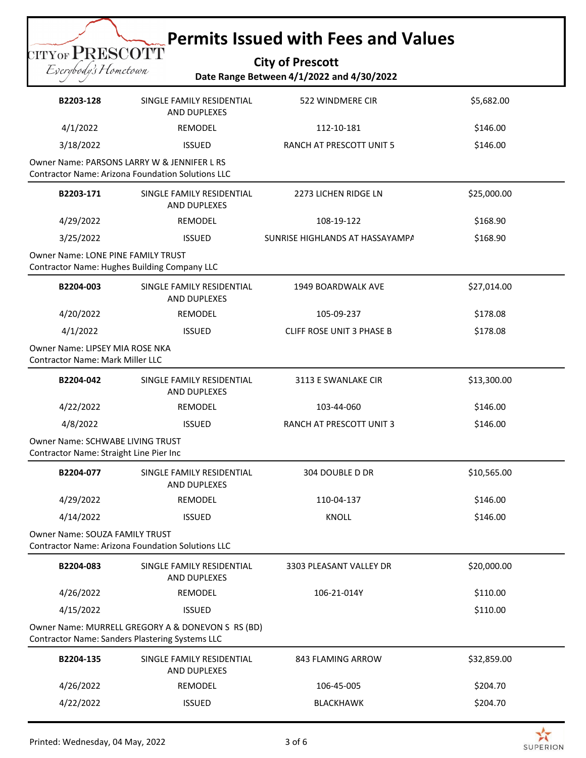## **Permits Issued with Fees and Values**

**City of Prescott Date Range Between 4/1/2022 and 4/30/2022**

| B2203-128                                                                                        | SINGLE FAMILY RESIDENTIAL<br>AND DUPLEXES                | 522 WINDMERE CIR                 | \$5,682.00  |
|--------------------------------------------------------------------------------------------------|----------------------------------------------------------|----------------------------------|-------------|
| 4/1/2022                                                                                         | REMODEL                                                  | 112-10-181                       | \$146.00    |
| 3/18/2022                                                                                        | <b>ISSUED</b>                                            | RANCH AT PRESCOTT UNIT 5         | \$146.00    |
| Owner Name: PARSONS LARRY W & JENNIFER L RS                                                      | <b>Contractor Name: Arizona Foundation Solutions LLC</b> |                                  |             |
| B2203-171                                                                                        | SINGLE FAMILY RESIDENTIAL<br>AND DUPLEXES                | 2273 LICHEN RIDGE LN             | \$25,000.00 |
| 4/29/2022                                                                                        | REMODEL                                                  | 108-19-122                       | \$168.90    |
| 3/25/2022                                                                                        | <b>ISSUED</b>                                            | SUNRISE HIGHLANDS AT HASSAYAMPA  | \$168.90    |
| <b>Owner Name: LONE PINE FAMILY TRUST</b><br><b>Contractor Name: Hughes Building Company LLC</b> |                                                          |                                  |             |
| B2204-003                                                                                        | SINGLE FAMILY RESIDENTIAL<br>AND DUPLEXES                | 1949 BOARDWALK AVE               | \$27,014.00 |
| 4/20/2022                                                                                        | REMODEL                                                  | 105-09-237                       | \$178.08    |
| 4/1/2022                                                                                         | <b>ISSUED</b>                                            | <b>CLIFF ROSE UNIT 3 PHASE B</b> | \$178.08    |
| Owner Name: LIPSEY MIA ROSE NKA<br><b>Contractor Name: Mark Miller LLC</b>                       |                                                          |                                  |             |
| B2204-042                                                                                        | SINGLE FAMILY RESIDENTIAL<br>AND DUPLEXES                | 3113 E SWANLAKE CIR              | \$13,300.00 |
| 4/22/2022                                                                                        | REMODEL                                                  | 103-44-060                       | \$146.00    |
| 4/8/2022                                                                                         | <b>ISSUED</b>                                            | RANCH AT PRESCOTT UNIT 3         | \$146.00    |
| <b>Owner Name: SCHWABE LIVING TRUST</b><br>Contractor Name: Straight Line Pier Inc               |                                                          |                                  |             |
| B2204-077                                                                                        | SINGLE FAMILY RESIDENTIAL<br>AND DUPLEXES                | <b>304 DOUBLE D DR</b>           | \$10,565.00 |
| 4/29/2022                                                                                        | REMODEL                                                  | 110-04-137                       | \$146.00    |
| 4/14/2022                                                                                        | <b>ISSUED</b>                                            | <b>KNOLL</b>                     | \$146.00    |
| <b>Owner Name: SOUZA FAMILY TRUST</b>                                                            | <b>Contractor Name: Arizona Foundation Solutions LLC</b> |                                  |             |
| B2204-083                                                                                        | SINGLE FAMILY RESIDENTIAL<br><b>AND DUPLEXES</b>         | 3303 PLEASANT VALLEY DR          | \$20,000.00 |
| 4/26/2022                                                                                        | REMODEL                                                  | 106-21-014Y                      | \$110.00    |
| 4/15/2022                                                                                        | <b>ISSUED</b>                                            |                                  | \$110.00    |
| <b>Contractor Name: Sanders Plastering Systems LLC</b>                                           | Owner Name: MURRELL GREGORY A & DONEVON S RS (BD)        |                                  |             |
| B2204-135                                                                                        | SINGLE FAMILY RESIDENTIAL<br>AND DUPLEXES                | 843 FLAMING ARROW                | \$32,859.00 |
| 4/26/2022                                                                                        | REMODEL                                                  | 106-45-005                       | \$204.70    |
| 4/22/2022                                                                                        | <b>ISSUED</b>                                            | <b>BLACKHAWK</b>                 | \$204.70    |

CITYOF PRESCOTT Eserybody's Hometown

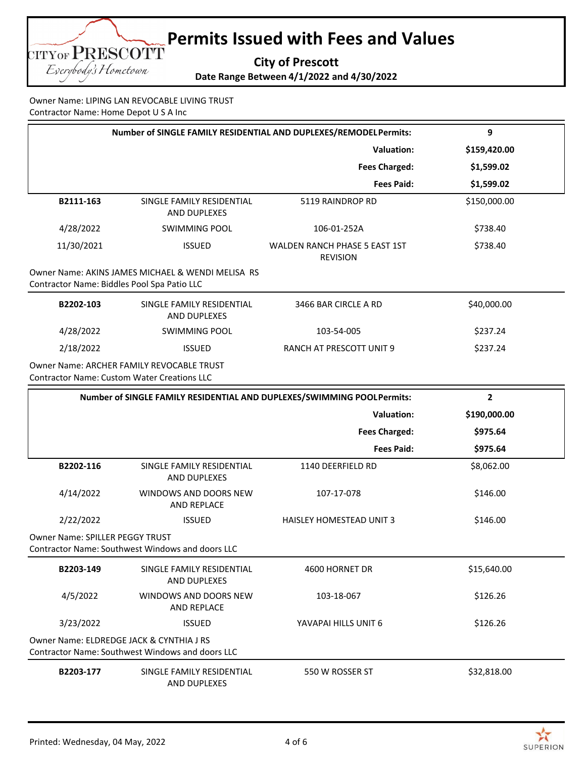**Permits Issued with Fees and Values** CITYOF PRESCOTT **City of Prescott** Eserybody's Hometown

**Date Range Between 4/1/2022 and 4/30/2022**

Owner Name: LIPING LAN REVOCABLE LIVING TRUST Contractor Name: Home Depot U S A Inc

|                                                    | Number of SINGLE FAMILY RESIDENTIAL AND DUPLEXES/REMODELPermits: |                                                                        | 9            |
|----------------------------------------------------|------------------------------------------------------------------|------------------------------------------------------------------------|--------------|
|                                                    |                                                                  | <b>Valuation:</b>                                                      | \$159,420.00 |
|                                                    |                                                                  | <b>Fees Charged:</b>                                                   | \$1,599.02   |
|                                                    |                                                                  | <b>Fees Paid:</b>                                                      | \$1,599.02   |
| B2111-163                                          | SINGLE FAMILY RESIDENTIAL<br>AND DUPLEXES                        | 5119 RAINDROP RD                                                       | \$150,000.00 |
| 4/28/2022                                          | <b>SWIMMING POOL</b>                                             | 106-01-252A                                                            | \$738.40     |
| 11/30/2021                                         | <b>ISSUED</b>                                                    | WALDEN RANCH PHASE 5 EAST 1ST<br><b>REVISION</b>                       | \$738.40     |
| Contractor Name: Biddles Pool Spa Patio LLC        | Owner Name: AKINS JAMES MICHAEL & WENDI MELISA RS                |                                                                        |              |
| B2202-103                                          | SINGLE FAMILY RESIDENTIAL<br>AND DUPLEXES                        | 3466 BAR CIRCLE A RD                                                   | \$40,000.00  |
| 4/28/2022                                          | <b>SWIMMING POOL</b>                                             | 103-54-005                                                             | \$237.24     |
| 2/18/2022                                          | <b>ISSUED</b>                                                    | RANCH AT PRESCOTT UNIT 9                                               | \$237.24     |
| <b>Contractor Name: Custom Water Creations LLC</b> | <b>Owner Name: ARCHER FAMILY REVOCABLE TRUST</b>                 |                                                                        |              |
|                                                    |                                                                  | Number of SINGLE FAMILY RESIDENTIAL AND DUPLEXES/SWIMMING POOLPermits: | $\mathbf{2}$ |
|                                                    |                                                                  | <b>Valuation:</b>                                                      | \$190,000.00 |
|                                                    |                                                                  | <b>Fees Charged:</b>                                                   | \$975.64     |
|                                                    |                                                                  | <b>Fees Paid:</b>                                                      | \$975.64     |
| B2202-116                                          | SINGLE FAMILY RESIDENTIAL<br>AND DUPLEXES                        | 1140 DEERFIELD RD                                                      | \$8,062.00   |
| 4/14/2022                                          | WINDOWS AND DOORS NEW<br>AND REPLACE                             | 107-17-078                                                             | \$146.00     |
| 2/22/2022                                          | <b>ISSUED</b>                                                    | HAISLEY HOMESTEAD UNIT 3                                               | \$146.00     |
| Owner Name: SPILLER PEGGY TRUST                    | Contractor Name: Southwest Windows and doors LLC                 |                                                                        |              |
| B2203-149                                          | SINGLE FAMILY RESIDENTIAL<br><b>AND DUPLEXES</b>                 | 4600 HORNET DR                                                         | \$15,640.00  |
| 4/5/2022                                           | WINDOWS AND DOORS NEW<br>AND REPLACE                             | 103-18-067                                                             | \$126.26     |
| 3/23/2022                                          | <b>ISSUED</b>                                                    | YAVAPAI HILLS UNIT 6                                                   | \$126.26     |
| Owner Name: ELDREDGE JACK & CYNTHIA J RS           | Contractor Name: Southwest Windows and doors LLC                 |                                                                        |              |
| B2203-177                                          | SINGLE FAMILY RESIDENTIAL<br>AND DUPLEXES                        | 550 W ROSSER ST                                                        | \$32,818.00  |

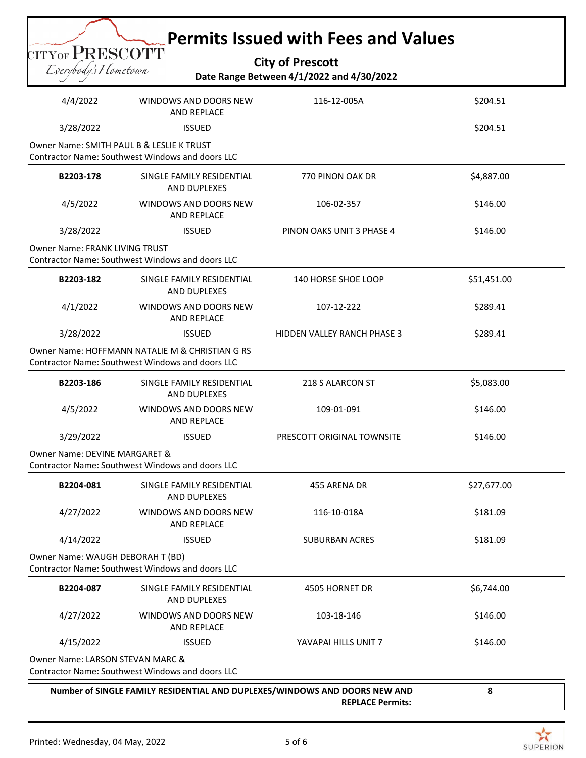|                                                                                                            |                                                                                               | <b>Permits Issued with Fees and Values</b>                                                            |             |  |
|------------------------------------------------------------------------------------------------------------|-----------------------------------------------------------------------------------------------|-------------------------------------------------------------------------------------------------------|-------------|--|
| $_{\mathrm{CITYOF}}$ $\mathrm{PRESCOTT}$                                                                   |                                                                                               | <b>City of Prescott</b>                                                                               |             |  |
| Eserybody's Hometown                                                                                       |                                                                                               | Date Range Between 4/1/2022 and 4/30/2022                                                             |             |  |
| 4/4/2022                                                                                                   | WINDOWS AND DOORS NEW<br><b>AND REPLACE</b>                                                   | 116-12-005A                                                                                           | \$204.51    |  |
| 3/28/2022                                                                                                  | <b>ISSUED</b>                                                                                 |                                                                                                       | \$204.51    |  |
|                                                                                                            | Owner Name: SMITH PAUL B & LESLIE K TRUST<br>Contractor Name: Southwest Windows and doors LLC |                                                                                                       |             |  |
| B2203-178                                                                                                  | SINGLE FAMILY RESIDENTIAL<br>AND DUPLEXES                                                     | 770 PINON OAK DR                                                                                      | \$4,887.00  |  |
| 4/5/2022                                                                                                   | WINDOWS AND DOORS NEW<br><b>AND REPLACE</b>                                                   | 106-02-357                                                                                            | \$146.00    |  |
| 3/28/2022                                                                                                  | <b>ISSUED</b>                                                                                 | PINON OAKS UNIT 3 PHASE 4                                                                             | \$146.00    |  |
| <b>Owner Name: FRANK LIVING TRUST</b>                                                                      | Contractor Name: Southwest Windows and doors LLC                                              |                                                                                                       |             |  |
| B2203-182                                                                                                  | SINGLE FAMILY RESIDENTIAL<br><b>AND DUPLEXES</b>                                              | 140 HORSE SHOE LOOP                                                                                   | \$51,451.00 |  |
| 4/1/2022                                                                                                   | WINDOWS AND DOORS NEW<br>AND REPLACE                                                          | 107-12-222                                                                                            | \$289.41    |  |
| 3/28/2022                                                                                                  | <b>ISSUED</b>                                                                                 | <b>HIDDEN VALLEY RANCH PHASE 3</b>                                                                    | \$289.41    |  |
| Owner Name: HOFFMANN NATALIE M & CHRISTIAN G RS<br><b>Contractor Name: Southwest Windows and doors LLC</b> |                                                                                               |                                                                                                       |             |  |
| B2203-186                                                                                                  | SINGLE FAMILY RESIDENTIAL<br><b>AND DUPLEXES</b>                                              | 218 S ALARCON ST                                                                                      | \$5,083.00  |  |
| 4/5/2022                                                                                                   | WINDOWS AND DOORS NEW<br>AND REPLACE                                                          | 109-01-091                                                                                            | \$146.00    |  |
| 3/29/2022                                                                                                  | <b>ISSUED</b>                                                                                 | PRESCOTT ORIGINAL TOWNSITE                                                                            | \$146.00    |  |
| Owner Name: DEVINE MARGARET &<br>Contractor Name: Southwest Windows and doors LLC                          |                                                                                               |                                                                                                       |             |  |
| B2204-081                                                                                                  | SINGLE FAMILY RESIDENTIAL<br>AND DUPLEXES                                                     | 455 ARENA DR                                                                                          | \$27,677.00 |  |
| 4/27/2022                                                                                                  | WINDOWS AND DOORS NEW<br><b>AND REPLACE</b>                                                   | 116-10-018A                                                                                           | \$181.09    |  |
| 4/14/2022                                                                                                  | <b>ISSUED</b>                                                                                 | <b>SUBURBAN ACRES</b>                                                                                 | \$181.09    |  |
| Owner Name: WAUGH DEBORAH T (BD)<br>Contractor Name: Southwest Windows and doors LLC                       |                                                                                               |                                                                                                       |             |  |
| B2204-087                                                                                                  | SINGLE FAMILY RESIDENTIAL<br>AND DUPLEXES                                                     | 4505 HORNET DR                                                                                        | \$6,744.00  |  |
| 4/27/2022                                                                                                  | WINDOWS AND DOORS NEW<br>AND REPLACE                                                          | 103-18-146                                                                                            | \$146.00    |  |
| 4/15/2022                                                                                                  | <b>ISSUED</b>                                                                                 | YAVAPAI HILLS UNIT 7                                                                                  | \$146.00    |  |
| Owner Name: LARSON STEVAN MARC &                                                                           | Contractor Name: Southwest Windows and doors LLC                                              |                                                                                                       |             |  |
|                                                                                                            |                                                                                               | Number of SINGLE FAMILY RESIDENTIAL AND DUPLEXES/WINDOWS AND DOORS NEW AND<br><b>REPLACE Permits:</b> | 8           |  |